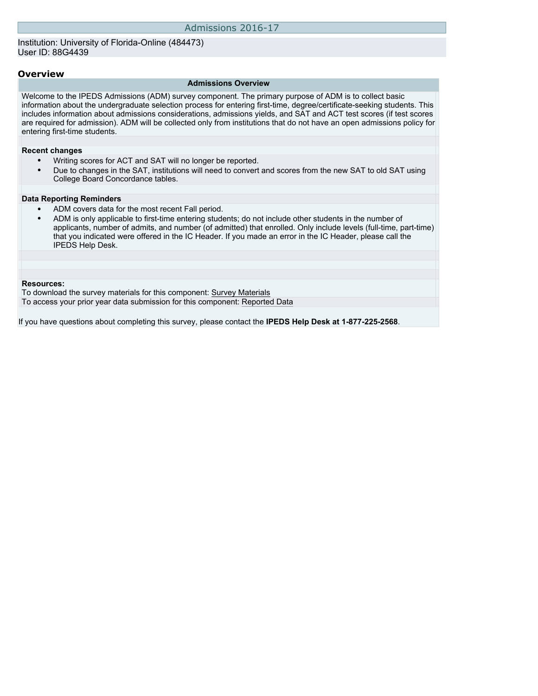#### **Overview**

#### **Admissions Overview**

Welcome to the IPEDS Admissions (ADM) survey component. The primary purpose of ADM is to collect basic information about the undergraduate selection process for entering first-time, degree/certificate-seeking students. This includes information about admissions considerations, admissions yields, and SAT and ACT test scores (if test scores are required for admission). ADM will be collected only from institutions that do not have an open admissions policy for entering first-time students.

#### **Recent changes**

- Writing scores for ACT and SAT will no longer be reported.
- Due to changes in the SAT, institutions will need to convert and scores from the new SAT to old SAT using College Board Concordance tables.

## **Data Reporting Reminders**

- ADM covers data for the most recent Fall period.
- ADM is only applicable to first-time entering students; do not include other students in the number of applicants, number of admits, and number (of admitted) that enrolled. Only include levels (full-time, part-time) that you indicated were offered in the IC Header. If you made an error in the IC Header, please call the IPEDS Help Desk.

#### **Resources:**

To download the survey materials for this component: [Survey Materials](https://surveys.nces.ed.gov/ipeds/VisIndex.aspx)

To access your prior year data submission for this component: [Reported Data](http://192.168.102.153/IPEDS/PriorYearDataRedirect.aspx?survey_id=14)

If you have questions about completing this survey, please contact the **IPEDS Help Desk at 1-877-225-2568**.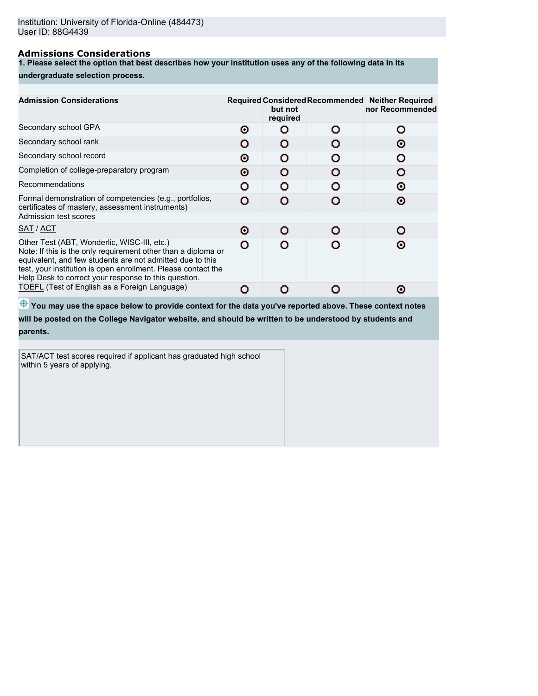# **Admissions Considerations**

**1. Please select the option that best describes how your institution uses any of the following data in its**

### **undergraduate selection process.**

| <b>Admission Considerations</b>                                                                                                                                                                                                                                                                    |   | but not<br>required | Required Considered Recommended Neither Required<br>nor Recommended |
|----------------------------------------------------------------------------------------------------------------------------------------------------------------------------------------------------------------------------------------------------------------------------------------------------|---|---------------------|---------------------------------------------------------------------|
| Secondary school GPA                                                                                                                                                                                                                                                                               | ⊙ |                     | 0                                                                   |
| Secondary school rank                                                                                                                                                                                                                                                                              | O |                     | Θ                                                                   |
| Secondary school record                                                                                                                                                                                                                                                                            | Θ | n                   |                                                                     |
| Completion of college-preparatory program                                                                                                                                                                                                                                                          | Θ |                     |                                                                     |
| Recommendations                                                                                                                                                                                                                                                                                    | Ω | o                   | ⊙                                                                   |
| Formal demonstration of competencies (e.g., portfolios,<br>certificates of mastery, assessment instruments)                                                                                                                                                                                        | Ω |                     | Θ                                                                   |
| Admission test scores                                                                                                                                                                                                                                                                              |   |                     |                                                                     |
| SAT / ACT                                                                                                                                                                                                                                                                                          | Θ | O                   |                                                                     |
| Other Test (ABT, Wonderlic, WISC-III, etc.)<br>Note: If this is the only requirement other than a diploma or<br>equivalent, and few students are not admitted due to this<br>test, your institution is open enrollment. Please contact the<br>Help Desk to correct your response to this question. | Ω |                     | ര                                                                   |
| TOEFL (Test of English as a Foreign Language)                                                                                                                                                                                                                                                      | o |                     | ര                                                                   |

 $\bigoplus$  **You may use the space below to provide context for the data you've reported above. These context notes will be posted on the College Navigator website, and should be written to be understood by students and parents.**

SAT/ACT test scores required if applicant has graduated high school within 5 years of applying.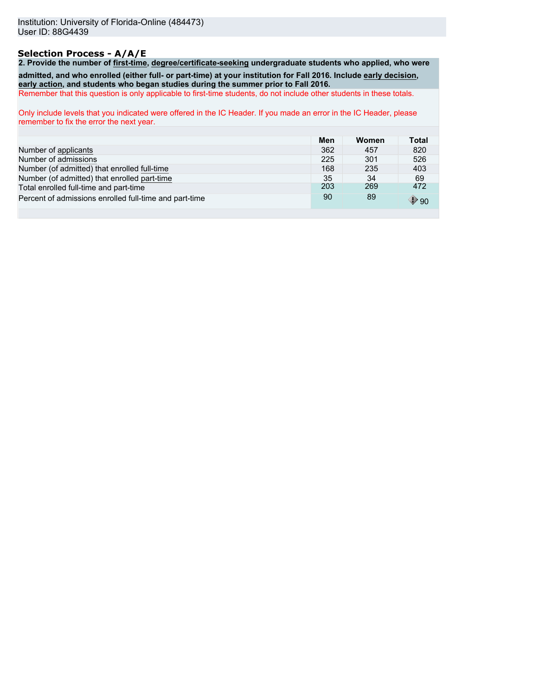# **Selection Process - A/A/E**

**2. Provide the number of first-time, degree/certificate-seeking undergraduate students who applied, who were admitted, and who enrolled (either full- or part-time) at your institution for Fall 2016. Include early decision, early action, and students who began studies during the summer prior to Fall 2016.** Remember that this question is only applicable to first-time students, do not include other students in these totals.

Only include levels that you indicated were offered in the IC Header. If you made an error in the IC Header, please remember to fix the error the next year.

|                                                        | Men | Women | Total           |
|--------------------------------------------------------|-----|-------|-----------------|
| Number of applicants                                   | 362 | 457   | 820             |
| Number of admissions                                   | 225 | 301   | 526             |
| Number (of admitted) that enrolled full-time           | 168 | 235   | 403             |
| Number (of admitted) that enrolled part-time           | 35  | 34    | 69              |
| Total enrolled full-time and part-time                 | 203 | 269   | 472             |
| Percent of admissions enrolled full-time and part-time | 90  | 89    | $\mathbb{P}$ 90 |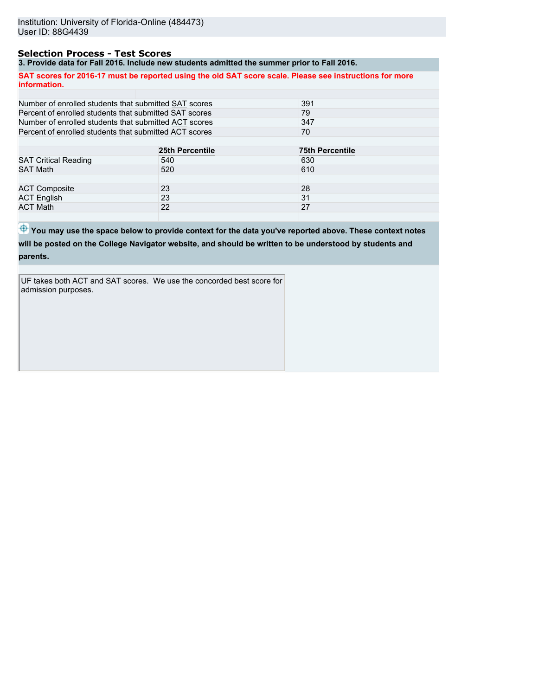## **Selection Process - Test Scores**

**3. Provide data for Fall 2016. Include new students admitted the summer prior to Fall 2016.**

|                                                        | <u>J. FTUVIUS UAIA IVI T AII ZV IV. INCIUUS NSW SIUUSIIIS AUNIIIIISU INS SUNNIISI IVIIVI IV T AII ZV IV.</u> |                                                                                                         |
|--------------------------------------------------------|--------------------------------------------------------------------------------------------------------------|---------------------------------------------------------------------------------------------------------|
| information.                                           |                                                                                                              | SAT scores for 2016-17 must be reported using the old SAT score scale. Please see instructions for more |
|                                                        |                                                                                                              |                                                                                                         |
| Number of enrolled students that submitted SAT scores  |                                                                                                              | 391                                                                                                     |
| Percent of enrolled students that submitted SAT scores |                                                                                                              | 79                                                                                                      |
| Number of enrolled students that submitted ACT scores  |                                                                                                              | 347                                                                                                     |
| Percent of enrolled students that submitted ACT scores |                                                                                                              | 70                                                                                                      |
|                                                        |                                                                                                              |                                                                                                         |
|                                                        | 25th Percentile                                                                                              | <b>75th Percentile</b>                                                                                  |
| <b>SAT Critical Reading</b>                            | 540                                                                                                          | 630                                                                                                     |
| <b>SAT Math</b>                                        | 520                                                                                                          | 610                                                                                                     |
|                                                        |                                                                                                              |                                                                                                         |
| <b>ACT Composite</b>                                   | 23                                                                                                           | 28                                                                                                      |
| <b>ACT English</b>                                     | 23                                                                                                           | 31                                                                                                      |
| <b>ACT Math</b>                                        | 22                                                                                                           | 27                                                                                                      |

 $\bigoplus$  **You may use the space below to provide context for the data you've reported above. These context notes will be posted on the College Navigator website, and should be written to be understood by students and**

**parents.**

UF takes both ACT and SAT scores. We use the concorded best score for admission purposes.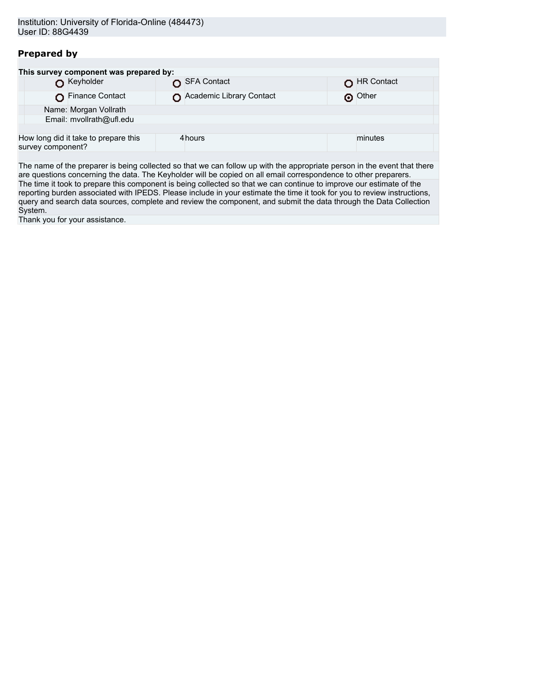# **Prepared by**

| This survey component was prepared by:                    |                          |            |  |  |  |  |
|-----------------------------------------------------------|--------------------------|------------|--|--|--|--|
| Keyholder                                                 | SFA Contact              | HR Contact |  |  |  |  |
| Finance Contact                                           | Academic Library Contact | O Other    |  |  |  |  |
| Name: Morgan Vollrath                                     |                          |            |  |  |  |  |
| Email: mvollrath@ufl.edu                                  |                          |            |  |  |  |  |
|                                                           |                          |            |  |  |  |  |
| How long did it take to prepare this<br>survey component? | 4 hours                  | minutes    |  |  |  |  |
|                                                           |                          |            |  |  |  |  |

The name of the preparer is being collected so that we can follow up with the appropriate person in the event that there are questions concerning the data. The Keyholder will be copied on all email correspondence to other preparers. The time it took to prepare this component is being collected so that we can continue to improve our estimate of the reporting burden associated with IPEDS. Please include in your estimate the time it took for you to review instructions, query and search data sources, complete and review the component, and submit the data through the Data Collection System.

Thank you for your assistance.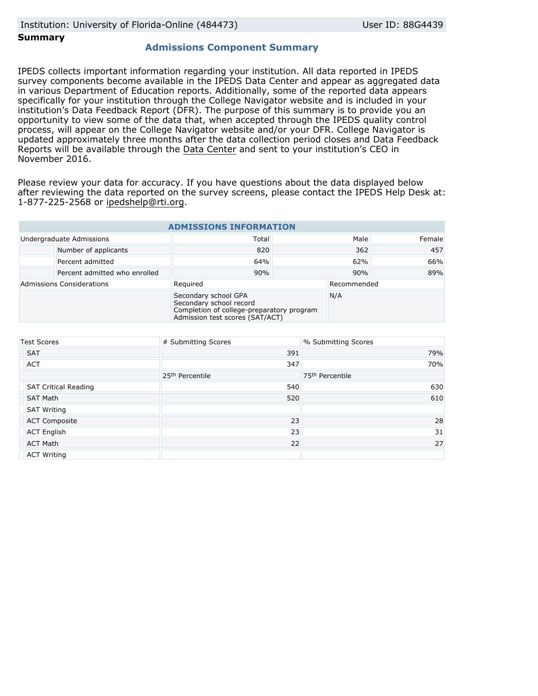## **Summary**

## **Admissions Component Summary**

IPEDS collects important information regarding your institution. All data reported in IPEDS survey components become available in the IPEDS Data Center and appear as aggregated data in various Department of Education reports. Additionally, some of the reported data appears specifically for your institution through the College Navigator website and is included in your institution's Data Feedback Report (DFR). The purpose of this summary is to provide you an opportunity to view some of the data that, when accepted through the IPEDS quality control process, will appear on the College Navigator website and/or your DFR. College Navigator is updated approximately three months after the data collection period closes and Data Feedback Reports will be available through the [Data Center](http://nces.ed.gov/ipeds/datacenter/) and sent to your institution's CEO in November 2016.

Please review your data for accuracy. If you have questions about the data displayed below after reviewing the data reported on the survey screens, please contact the IPEDS Help Desk at: 1-877-225-2568 or ipedshelp@rti.org.

| <b>ADMISSIONS INFORMATION</b>    |                                                                                                                                 |          |     |             |        |
|----------------------------------|---------------------------------------------------------------------------------------------------------------------------------|----------|-----|-------------|--------|
|                                  | Undergraduate Admissions                                                                                                        | Total    |     | Male        | Female |
|                                  | Number of applicants                                                                                                            | 820      |     | 362         | 457    |
|                                  | Percent admitted                                                                                                                | 64%      | 62% |             | 66%    |
|                                  | Percent admitted who enrolled                                                                                                   | 90%      | 90% |             | 89%    |
| <b>Admissions Considerations</b> |                                                                                                                                 | Required |     | Recommended |        |
|                                  | Secondary school GPA<br>Secondary school record<br>Completion of college-preparatory program<br>Admission test scores (SAT/ACT) |          | N/A |             |        |

| <b>Test Scores</b>          | # Submitting Scores         | % Submitting Scores         |
|-----------------------------|-----------------------------|-----------------------------|
| <b>SAT</b>                  | 391                         | 79%                         |
| <b>ACT</b>                  | 347                         | 70%                         |
|                             | 25 <sup>th</sup> Percentile | 75 <sup>th</sup> Percentile |
| <b>SAT Critical Reading</b> | 540                         | 630                         |
| <b>SAT Math</b>             | 520                         | 610                         |
| <b>SAT Writing</b>          |                             |                             |
| <b>ACT Composite</b>        | 23                          | 28                          |
| <b>ACT English</b>          | 23                          | 31                          |
| <b>ACT Math</b>             | 22                          | 27                          |
| <b>ACT Writing</b>          |                             |                             |